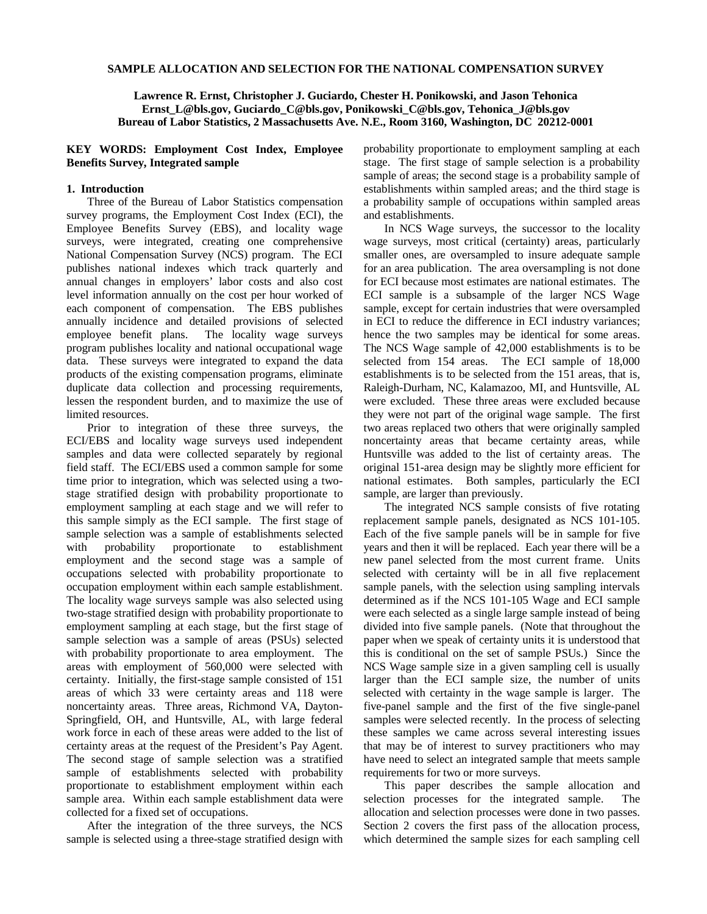## **SAMPLE ALLOCATION AND SELECTION FOR THE NATIONAL COMPENSATION SURVEY**

**Lawrence R. Ernst, Christopher J. Guciardo, Chester H. Ponikowski, and Jason Tehonica Ernst\_L@bls.gov, Guciardo\_C@bls.gov, Ponikowski\_C@bls.gov, Tehonica\_J@bls.gov Bureau of Labor Statistics, 2 Massachusetts Ave. N.E., Room 3160, Washington, DC 20212-0001** 

## **KEY WORDS: Employment Cost Index, Employee Benefits Survey, Integrated sample**

## **1. Introduction**

Three of the Bureau of Labor Statistics compensation survey programs, the Employment Cost Index (ECI), the Employee Benefits Survey (EBS), and locality wage surveys, were integrated, creating one comprehensive National Compensation Survey (NCS) program. The ECI publishes national indexes which track quarterly and annual changes in employers' labor costs and also cost level information annually on the cost per hour worked of each component of compensation. The EBS publishes annually incidence and detailed provisions of selected employee benefit plans. The locality wage surveys program publishes locality and national occupational wage data. These surveys were integrated to expand the data products of the existing compensation programs, eliminate duplicate data collection and processing requirements, lessen the respondent burden, and to maximize the use of limited resources.

Prior to integration of these three surveys, the ECI/EBS and locality wage surveys used independent samples and data were collected separately by regional field staff. The ECI/EBS used a common sample for some time prior to integration, which was selected using a twostage stratified design with probability proportionate to employment sampling at each stage and we will refer to this sample simply as the ECI sample. The first stage of sample selection was a sample of establishments selected with probability proportionate to establishment employment and the second stage was a sample of occupations selected with probability proportionate to occupation employment within each sample establishment. The locality wage surveys sample was also selected using two-stage stratified design with probability proportionate to employment sampling at each stage, but the first stage of sample selection was a sample of areas (PSUs) selected with probability proportionate to area employment. The areas with employment of 560,000 were selected with certainty. Initially, the first-stage sample consisted of 151 areas of which 33 were certainty areas and 118 were noncertainty areas. Three areas, Richmond VA, Dayton-Springfield, OH, and Huntsville, AL, with large federal work force in each of these areas were added to the list of certainty areas at the request of the President's Pay Agent. The second stage of sample selection was a stratified sample of establishments selected with probability proportionate to establishment employment within each sample area. Within each sample establishment data were collected for a fixed set of occupations.

After the integration of the three surveys, the NCS sample is selected using a three-stage stratified design with probability proportionate to employment sampling at each stage. The first stage of sample selection is a probability sample of areas; the second stage is a probability sample of establishments within sampled areas; and the third stage is a probability sample of occupations within sampled areas and establishments.

In NCS Wage surveys, the successor to the locality wage surveys, most critical (certainty) areas, particularly smaller ones, are oversampled to insure adequate sample for an area publication. The area oversampling is not done for ECI because most estimates are national estimates. The ECI sample is a subsample of the larger NCS Wage sample, except for certain industries that were oversampled in ECI to reduce the difference in ECI industry variances; hence the two samples may be identical for some areas. The NCS Wage sample of 42,000 establishments is to be selected from 154 areas. The ECI sample of 18,000 establishments is to be selected from the 151 areas, that is, Raleigh-Durham, NC, Kalamazoo, MI, and Huntsville, AL were excluded. These three areas were excluded because they were not part of the original wage sample. The first two areas replaced two others that were originally sampled noncertainty areas that became certainty areas, while Huntsville was added to the list of certainty areas. The original 151-area design may be slightly more efficient for national estimates. Both samples, particularly the ECI sample, are larger than previously.

The integrated NCS sample consists of five rotating replacement sample panels, designated as NCS 101-105. Each of the five sample panels will be in sample for five years and then it will be replaced. Each year there will be a new panel selected from the most current frame. Units selected with certainty will be in all five replacement sample panels, with the selection using sampling intervals determined as if the NCS 101-105 Wage and ECI sample were each selected as a single large sample instead of being divided into five sample panels. (Note that throughout the paper when we speak of certainty units it is understood that this is conditional on the set of sample PSUs.) Since the NCS Wage sample size in a given sampling cell is usually larger than the ECI sample size, the number of units selected with certainty in the wage sample is larger. The five-panel sample and the first of the five single-panel samples were selected recently. In the process of selecting these samples we came across several interesting issues that may be of interest to survey practitioners who may have need to select an integrated sample that meets sample requirements for two or more surveys.

This paper describes the sample allocation and selection processes for the integrated sample. The allocation and selection processes were done in two passes. Section 2 covers the first pass of the allocation process, which determined the sample sizes for each sampling cell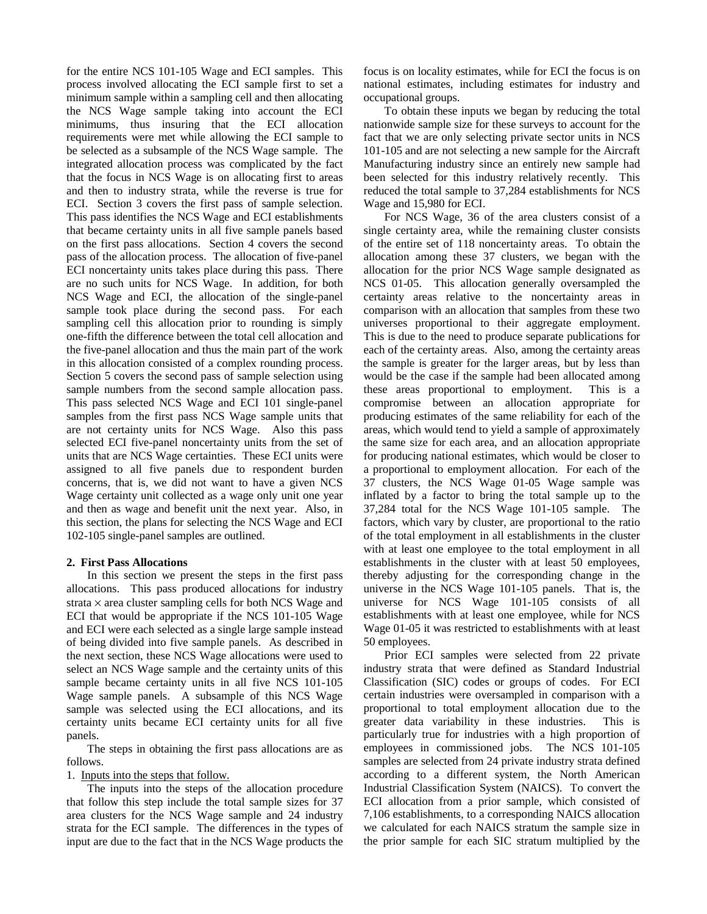for the entire NCS 101-105 Wage and ECI samples. This process involved allocating the ECI sample first to set a minimum sample within a sampling cell and then allocating the NCS Wage sample taking into account the ECI minimums, thus insuring that the ECI allocation requirements were met while allowing the ECI sample to be selected as a subsample of the NCS Wage sample. The integrated allocation process was complicated by the fact that the focus in NCS Wage is on allocating first to areas and then to industry strata, while the reverse is true for ECI. Section 3 covers the first pass of sample selection. This pass identifies the NCS Wage and ECI establishments that became certainty units in all five sample panels based on the first pass allocations. Section 4 covers the second pass of the allocation process. The allocation of five-panel ECI noncertainty units takes place during this pass. There are no such units for NCS Wage. In addition, for both NCS Wage and ECI, the allocation of the single-panel sample took place during the second pass. For each sampling cell this allocation prior to rounding is simply one-fifth the difference between the total cell allocation and the five-panel allocation and thus the main part of the work in this allocation consisted of a complex rounding process. Section 5 covers the second pass of sample selection using sample numbers from the second sample allocation pass. This pass selected NCS Wage and ECI 101 single-panel samples from the first pass NCS Wage sample units that are not certainty units for NCS Wage. Also this pass selected ECI five-panel noncertainty units from the set of units that are NCS Wage certainties. These ECI units were assigned to all five panels due to respondent burden concerns, that is, we did not want to have a given NCS Wage certainty unit collected as a wage only unit one year and then as wage and benefit unit the next year. Also, in this section, the plans for selecting the NCS Wage and ECI 102-105 single-panel samples are outlined.

## **2. First Pass Allocations**

In this section we present the steps in the first pass allocations. This pass produced allocations for industry strata  $\times$  area cluster sampling cells for both NCS Wage and ECI that would be appropriate if the NCS 101-105 Wage and ECI were each selected as a single large sample instead of being divided into five sample panels. As described in the next section, these NCS Wage allocations were used to select an NCS Wage sample and the certainty units of this sample became certainty units in all five NCS 101-105 Wage sample panels. A subsample of this NCS Wage sample was selected using the ECI allocations, and its certainty units became ECI certainty units for all five panels.

The steps in obtaining the first pass allocations are as follows.

1. Inputs into the steps that follow.

The inputs into the steps of the allocation procedure that follow this step include the total sample sizes for 37 area clusters for the NCS Wage sample and 24 industry strata for the ECI sample. The differences in the types of input are due to the fact that in the NCS Wage products the focus is on locality estimates, while for ECI the focus is on national estimates, including estimates for industry and occupational groups.

To obtain these inputs we began by reducing the total nationwide sample size for these surveys to account for the fact that we are only selecting private sector units in NCS 101-105 and are not selecting a new sample for the Aircraft Manufacturing industry since an entirely new sample had been selected for this industry relatively recently. This reduced the total sample to 37,284 establishments for NCS Wage and 15,980 for ECI.

For NCS Wage, 36 of the area clusters consist of a single certainty area, while the remaining cluster consists of the entire set of 118 noncertainty areas. To obtain the allocation among these 37 clusters, we began with the allocation for the prior NCS Wage sample designated as NCS 01-05. This allocation generally oversampled the certainty areas relative to the noncertainty areas in comparison with an allocation that samples from these two universes proportional to their aggregate employment. This is due to the need to produce separate publications for each of the certainty areas. Also, among the certainty areas the sample is greater for the larger areas, but by less than would be the case if the sample had been allocated among these areas proportional to employment. This is a compromise between an allocation appropriate for producing estimates of the same reliability for each of the areas, which would tend to yield a sample of approximately the same size for each area, and an allocation appropriate for producing national estimates, which would be closer to a proportional to employment allocation. For each of the 37 clusters, the NCS Wage 01-05 Wage sample was inflated by a factor to bring the total sample up to the 37,284 total for the NCS Wage 101-105 sample. The factors, which vary by cluster, are proportional to the ratio of the total employment in all establishments in the cluster with at least one employee to the total employment in all establishments in the cluster with at least 50 employees, thereby adjusting for the corresponding change in the universe in the NCS Wage 101-105 panels. That is, the universe for NCS Wage 101-105 consists of all establishments with at least one employee, while for NCS Wage 01-05 it was restricted to establishments with at least 50 employees.

Prior ECI samples were selected from 22 private industry strata that were defined as Standard Industrial Classification (SIC) codes or groups of codes. For ECI certain industries were oversampled in comparison with a proportional to total employment allocation due to the greater data variability in these industries. This is particularly true for industries with a high proportion of employees in commissioned jobs. The NCS 101-105 samples are selected from 24 private industry strata defined according to a different system, the North American Industrial Classification System (NAICS). To convert the ECI allocation from a prior sample, which consisted of 7,106 establishments, to a corresponding NAICS allocation we calculated for each NAICS stratum the sample size in the prior sample for each SIC stratum multiplied by the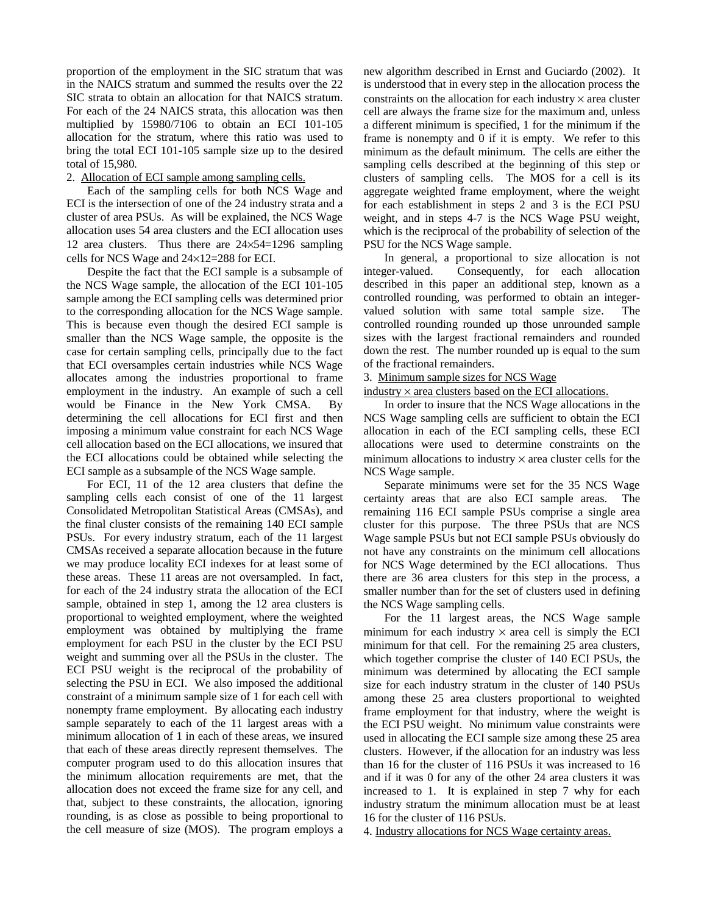proportion of the employment in the SIC stratum that was in the NAICS stratum and summed the results over the 22 SIC strata to obtain an allocation for that NAICS stratum. For each of the 24 NAICS strata, this allocation was then multiplied by 15980/7106 to obtain an ECI 101-105 allocation for the stratum, where this ratio was used to bring the total ECI 101-105 sample size up to the desired total of 15,980.

#### 2. Allocation of ECI sample among sampling cells.

Each of the sampling cells for both NCS Wage and ECI is the intersection of one of the 24 industry strata and a cluster of area PSUs. As will be explained, the NCS Wage allocation uses 54 area clusters and the ECI allocation uses 12 area clusters. Thus there are 24×54=1296 sampling cells for NCS Wage and 24×12=288 for ECI.

Despite the fact that the ECI sample is a subsample of the NCS Wage sample, the allocation of the ECI 101-105 sample among the ECI sampling cells was determined prior to the corresponding allocation for the NCS Wage sample. This is because even though the desired ECI sample is smaller than the NCS Wage sample, the opposite is the case for certain sampling cells, principally due to the fact that ECI oversamples certain industries while NCS Wage allocates among the industries proportional to frame employment in the industry. An example of such a cell would be Finance in the New York CMSA. By determining the cell allocations for ECI first and then imposing a minimum value constraint for each NCS Wage cell allocation based on the ECI allocations, we insured that the ECI allocations could be obtained while selecting the ECI sample as a subsample of the NCS Wage sample.

For ECI, 11 of the 12 area clusters that define the sampling cells each consist of one of the 11 largest Consolidated Metropolitan Statistical Areas (CMSAs), and the final cluster consists of the remaining 140 ECI sample PSUs. For every industry stratum, each of the 11 largest CMSAs received a separate allocation because in the future we may produce locality ECI indexes for at least some of these areas. These 11 areas are not oversampled. In fact, for each of the 24 industry strata the allocation of the ECI sample, obtained in step 1, among the 12 area clusters is proportional to weighted employment, where the weighted employment was obtained by multiplying the frame employment for each PSU in the cluster by the ECI PSU weight and summing over all the PSUs in the cluster. The ECI PSU weight is the reciprocal of the probability of selecting the PSU in ECI. We also imposed the additional constraint of a minimum sample size of 1 for each cell with nonempty frame employment. By allocating each industry sample separately to each of the 11 largest areas with a minimum allocation of 1 in each of these areas, we insured that each of these areas directly represent themselves. The computer program used to do this allocation insures that the minimum allocation requirements are met, that the allocation does not exceed the frame size for any cell, and that, subject to these constraints, the allocation, ignoring rounding, is as close as possible to being proportional to the cell measure of size (MOS). The program employs a

new algorithm described in Ernst and Guciardo (2002). It is understood that in every step in the allocation process the constraints on the allocation for each industry  $\times$  area cluster cell are always the frame size for the maximum and, unless a different minimum is specified, 1 for the minimum if the frame is nonempty and 0 if it is empty. We refer to this minimum as the default minimum. The cells are either the sampling cells described at the beginning of this step or clusters of sampling cells. The MOS for a cell is its aggregate weighted frame employment, where the weight for each establishment in steps 2 and 3 is the ECI PSU weight, and in steps 4-7 is the NCS Wage PSU weight, which is the reciprocal of the probability of selection of the PSU for the NCS Wage sample.

In general, a proportional to size allocation is not integer-valued. Consequently, for each allocation described in this paper an additional step, known as a controlled rounding, was performed to obtain an integervalued solution with same total sample size. The controlled rounding rounded up those unrounded sample sizes with the largest fractional remainders and rounded down the rest. The number rounded up is equal to the sum of the fractional remainders.

## 3. Minimum sample sizes for NCS Wage

#### $industry \times area clusters based on the ECI allocations.$

In order to insure that the NCS Wage allocations in the NCS Wage sampling cells are sufficient to obtain the ECI allocation in each of the ECI sampling cells, these ECI allocations were used to determine constraints on the minimum allocations to industry  $\times$  area cluster cells for the NCS Wage sample.

Separate minimums were set for the 35 NCS Wage certainty areas that are also ECI sample areas. The remaining 116 ECI sample PSUs comprise a single area cluster for this purpose. The three PSUs that are NCS Wage sample PSUs but not ECI sample PSUs obviously do not have any constraints on the minimum cell allocations for NCS Wage determined by the ECI allocations. Thus there are 36 area clusters for this step in the process, a smaller number than for the set of clusters used in defining the NCS Wage sampling cells.

For the 11 largest areas, the NCS Wage sample minimum for each industry  $\times$  area cell is simply the ECI minimum for that cell. For the remaining 25 area clusters, which together comprise the cluster of 140 ECI PSUs, the minimum was determined by allocating the ECI sample size for each industry stratum in the cluster of 140 PSUs among these 25 area clusters proportional to weighted frame employment for that industry, where the weight is the ECI PSU weight. No minimum value constraints were used in allocating the ECI sample size among these 25 area clusters. However, if the allocation for an industry was less than 16 for the cluster of 116 PSUs it was increased to 16 and if it was 0 for any of the other 24 area clusters it was increased to 1. It is explained in step 7 why for each industry stratum the minimum allocation must be at least 16 for the cluster of 116 PSUs.

4. Industry allocations for NCS Wage certainty areas.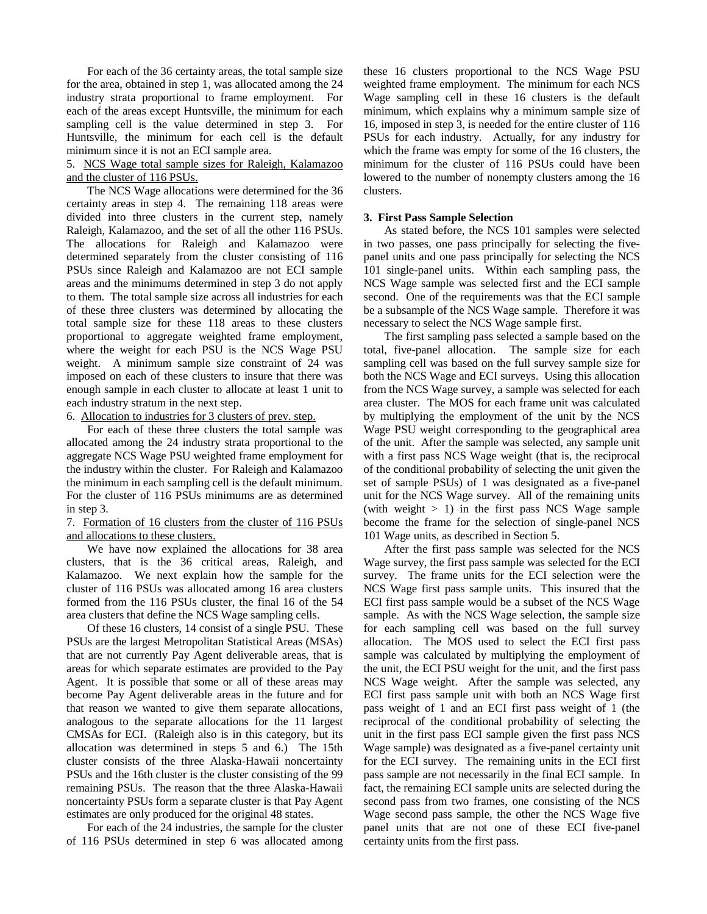For each of the 36 certainty areas, the total sample size for the area, obtained in step 1, was allocated among the 24 industry strata proportional to frame employment. For each of the areas except Huntsville, the minimum for each sampling cell is the value determined in step 3. For Huntsville, the minimum for each cell is the default minimum since it is not an ECI sample area.

## 5. NCS Wage total sample sizes for Raleigh, Kalamazoo and the cluster of 116 PSUs.

The NCS Wage allocations were determined for the 36 certainty areas in step 4. The remaining 118 areas were divided into three clusters in the current step, namely Raleigh, Kalamazoo, and the set of all the other 116 PSUs. The allocations for Raleigh and Kalamazoo were determined separately from the cluster consisting of 116 PSUs since Raleigh and Kalamazoo are not ECI sample areas and the minimums determined in step 3 do not apply to them. The total sample size across all industries for each of these three clusters was determined by allocating the total sample size for these 118 areas to these clusters proportional to aggregate weighted frame employment, where the weight for each PSU is the NCS Wage PSU weight. A minimum sample size constraint of 24 was imposed on each of these clusters to insure that there was enough sample in each cluster to allocate at least 1 unit to each industry stratum in the next step.

## 6. Allocation to industries for 3 clusters of prev. step.

For each of these three clusters the total sample was allocated among the 24 industry strata proportional to the aggregate NCS Wage PSU weighted frame employment for the industry within the cluster. For Raleigh and Kalamazoo the minimum in each sampling cell is the default minimum. For the cluster of 116 PSUs minimums are as determined in step 3.

## 7. Formation of 16 clusters from the cluster of 116 PSUs and allocations to these clusters.

We have now explained the allocations for 38 area clusters, that is the 36 critical areas, Raleigh, and Kalamazoo. We next explain how the sample for the cluster of 116 PSUs was allocated among 16 area clusters formed from the 116 PSUs cluster, the final 16 of the 54 area clusters that define the NCS Wage sampling cells.

Of these 16 clusters, 14 consist of a single PSU. These PSUs are the largest Metropolitan Statistical Areas (MSAs) that are not currently Pay Agent deliverable areas, that is areas for which separate estimates are provided to the Pay Agent. It is possible that some or all of these areas may become Pay Agent deliverable areas in the future and for that reason we wanted to give them separate allocations, analogous to the separate allocations for the 11 largest CMSAs for ECI. (Raleigh also is in this category, but its allocation was determined in steps 5 and 6.) The 15th cluster consists of the three Alaska-Hawaii noncertainty PSUs and the 16th cluster is the cluster consisting of the 99 remaining PSUs. The reason that the three Alaska-Hawaii noncertainty PSUs form a separate cluster is that Pay Agent estimates are only produced for the original 48 states.

For each of the 24 industries, the sample for the cluster of 116 PSUs determined in step 6 was allocated among these 16 clusters proportional to the NCS Wage PSU weighted frame employment. The minimum for each NCS Wage sampling cell in these 16 clusters is the default minimum, which explains why a minimum sample size of 16, imposed in step 3, is needed for the entire cluster of 116 PSUs for each industry. Actually, for any industry for which the frame was empty for some of the 16 clusters, the minimum for the cluster of 116 PSUs could have been lowered to the number of nonempty clusters among the 16 clusters.

## **3. First Pass Sample Selection**

As stated before, the NCS 101 samples were selected in two passes, one pass principally for selecting the fivepanel units and one pass principally for selecting the NCS 101 single-panel units. Within each sampling pass, the NCS Wage sample was selected first and the ECI sample second. One of the requirements was that the ECI sample be a subsample of the NCS Wage sample. Therefore it was necessary to select the NCS Wage sample first.

The first sampling pass selected a sample based on the total, five-panel allocation. The sample size for each sampling cell was based on the full survey sample size for both the NCS Wage and ECI surveys. Using this allocation from the NCS Wage survey, a sample was selected for each area cluster. The MOS for each frame unit was calculated by multiplying the employment of the unit by the NCS Wage PSU weight corresponding to the geographical area of the unit. After the sample was selected, any sample unit with a first pass NCS Wage weight (that is, the reciprocal of the conditional probability of selecting the unit given the set of sample PSUs) of 1 was designated as a five-panel unit for the NCS Wage survey. All of the remaining units (with weight  $> 1$ ) in the first pass NCS Wage sample become the frame for the selection of single-panel NCS 101 Wage units, as described in Section 5.

After the first pass sample was selected for the NCS Wage survey, the first pass sample was selected for the ECI survey. The frame units for the ECI selection were the NCS Wage first pass sample units. This insured that the ECI first pass sample would be a subset of the NCS Wage sample. As with the NCS Wage selection, the sample size for each sampling cell was based on the full survey allocation. The MOS used to select the ECI first pass sample was calculated by multiplying the employment of the unit, the ECI PSU weight for the unit, and the first pass NCS Wage weight. After the sample was selected, any ECI first pass sample unit with both an NCS Wage first pass weight of 1 and an ECI first pass weight of 1 (the reciprocal of the conditional probability of selecting the unit in the first pass ECI sample given the first pass NCS Wage sample) was designated as a five-panel certainty unit for the ECI survey. The remaining units in the ECI first pass sample are not necessarily in the final ECI sample. In fact, the remaining ECI sample units are selected during the second pass from two frames, one consisting of the NCS Wage second pass sample, the other the NCS Wage five panel units that are not one of these ECI five-panel certainty units from the first pass.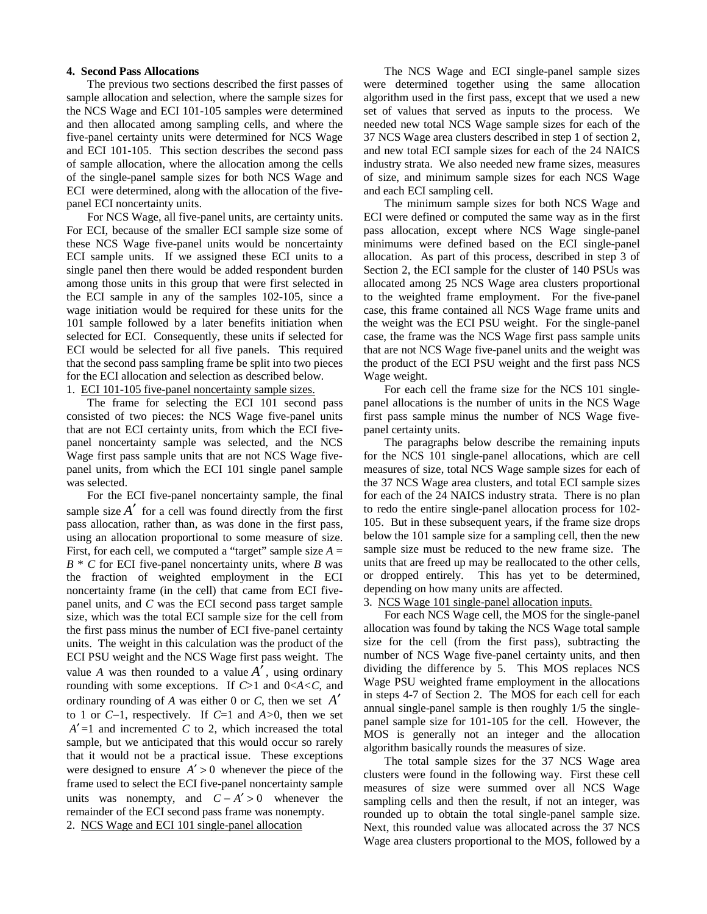#### **4. Second Pass Allocations**

The previous two sections described the first passes of sample allocation and selection, where the sample sizes for the NCS Wage and ECI 101-105 samples were determined and then allocated among sampling cells, and where the five-panel certainty units were determined for NCS Wage and ECI 101-105. This section describes the second pass of sample allocation, where the allocation among the cells of the single-panel sample sizes for both NCS Wage and ECI were determined, along with the allocation of the fivepanel ECI noncertainty units.

For NCS Wage, all five-panel units, are certainty units. For ECI, because of the smaller ECI sample size some of these NCS Wage five-panel units would be noncertainty ECI sample units. If we assigned these ECI units to a single panel then there would be added respondent burden among those units in this group that were first selected in the ECI sample in any of the samples 102-105, since a wage initiation would be required for these units for the 101 sample followed by a later benefits initiation when selected for ECI. Consequently, these units if selected for ECI would be selected for all five panels. This required that the second pass sampling frame be split into two pieces for the ECI allocation and selection as described below.

# 1. ECI 101-105 five-panel noncertainty sample sizes.

The frame for selecting the ECI 101 second pass consisted of two pieces: the NCS Wage five-panel units that are not ECI certainty units, from which the ECI fivepanel noncertainty sample was selected, and the NCS Wage first pass sample units that are not NCS Wage fivepanel units, from which the ECI 101 single panel sample was selected.

For the ECI five-panel noncertainty sample, the final sample size  $A'$  for a cell was found directly from the first pass allocation, rather than, as was done in the first pass, using an allocation proportional to some measure of size. First, for each cell, we computed a "target" sample size  $A =$ *B* \* *C* for ECI five-panel noncertainty units, where *B* was the fraction of weighted employment in the ECI noncertainty frame (in the cell) that came from ECI fivepanel units, and *C* was the ECI second pass target sample size, which was the total ECI sample size for the cell from the first pass minus the number of ECI five-panel certainty units. The weight in this calculation was the product of the ECI PSU weight and the NCS Wage first pass weight. The value *A* was then rounded to a value  $A'$ , using ordinary rounding with some exceptions. If *C*>1 and 0<*A<C*, and ordinary rounding of *A* was either 0 or *C*, then we set *A*′ to 1 or *C*−1, respectively. If *C*=1 and *A>*0, then we set  $A' = 1$  and incremented *C* to 2, which increased the total sample, but we anticipated that this would occur so rarely that it would not be a practical issue. These exceptions were designed to ensure  $A' > 0$  whenever the piece of the frame used to select the ECI five-panel noncertainty sample units was nonempty, and  $C - A' > 0$  whenever the remainder of the ECI second pass frame was nonempty.

2. NCS Wage and ECI 101 single-panel allocation

The NCS Wage and ECI single-panel sample sizes were determined together using the same allocation algorithm used in the first pass, except that we used a new set of values that served as inputs to the process. We needed new total NCS Wage sample sizes for each of the 37 NCS Wage area clusters described in step 1 of section 2, and new total ECI sample sizes for each of the 24 NAICS industry strata. We also needed new frame sizes, measures of size, and minimum sample sizes for each NCS Wage and each ECI sampling cell.

The minimum sample sizes for both NCS Wage and ECI were defined or computed the same way as in the first pass allocation, except where NCS Wage single-panel minimums were defined based on the ECI single-panel allocation. As part of this process, described in step 3 of Section 2, the ECI sample for the cluster of 140 PSUs was allocated among 25 NCS Wage area clusters proportional to the weighted frame employment. For the five-panel case, this frame contained all NCS Wage frame units and the weight was the ECI PSU weight. For the single-panel case, the frame was the NCS Wage first pass sample units that are not NCS Wage five-panel units and the weight was the product of the ECI PSU weight and the first pass NCS Wage weight.

For each cell the frame size for the NCS 101 singlepanel allocations is the number of units in the NCS Wage first pass sample minus the number of NCS Wage fivepanel certainty units.

The paragraphs below describe the remaining inputs for the NCS 101 single-panel allocations, which are cell measures of size, total NCS Wage sample sizes for each of the 37 NCS Wage area clusters, and total ECI sample sizes for each of the 24 NAICS industry strata. There is no plan to redo the entire single-panel allocation process for 102- 105. But in these subsequent years, if the frame size drops below the 101 sample size for a sampling cell, then the new sample size must be reduced to the new frame size. The units that are freed up may be reallocated to the other cells, or dropped entirely. This has yet to be determined, depending on how many units are affected.

## 3. NCS Wage 101 single-panel allocation inputs.

For each NCS Wage cell, the MOS for the single-panel allocation was found by taking the NCS Wage total sample size for the cell (from the first pass), subtracting the number of NCS Wage five-panel certainty units, and then dividing the difference by 5. This MOS replaces NCS Wage PSU weighted frame employment in the allocations in steps 4-7 of Section 2. The MOS for each cell for each annual single-panel sample is then roughly 1/5 the singlepanel sample size for 101-105 for the cell. However, the MOS is generally not an integer and the allocation algorithm basically rounds the measures of size.

The total sample sizes for the 37 NCS Wage area clusters were found in the following way. First these cell measures of size were summed over all NCS Wage sampling cells and then the result, if not an integer, was rounded up to obtain the total single-panel sample size. Next, this rounded value was allocated across the 37 NCS Wage area clusters proportional to the MOS, followed by a